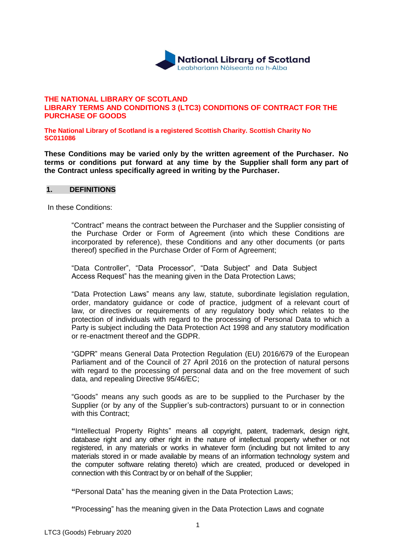

### **THE NATIONAL LIBRARY OF SCOTLAND LIBRARY TERMS AND CONDITIONS 3 (LTC3) CONDITIONS OF CONTRACT FOR THE PURCHASE OF GOODS**

**The National Library of Scotland is a registered Scottish Charity. Scottish Charity No SC011086**

**These Conditions may be varied only by the written agreement of the Purchaser. No terms or conditions put forward at any time by the Supplier shall form any part of the Contract unless specifically agreed in writing by the Purchaser.**

#### **1. DEFINITIONS**

In these Conditions:

"Contract" means the contract between the Purchaser and the Supplier consisting of the Purchase Order or Form of Agreement (into which these Conditions are incorporated by reference), these Conditions and any other documents (or parts thereof) specified in the Purchase Order of Form of Agreement;

"Data Controller", "Data Processor", "Data Subject" and Data Subject Access Request" has the meaning given in the Data Protection Laws;

"Data Protection Laws" means any law, statute, subordinate legislation regulation, order, mandatory guidance or code of practice, judgment of a relevant court of law, or directives or requirements of any regulatory body which relates to the protection of individuals with regard to the processing of Personal Data to which a Party is subject including the Data Protection Act 1998 and any statutory modification or re-enactment thereof and the GDPR.

"GDPR" means General Data Protection Regulation (EU) 2016/679 of the European Parliament and of the Council of 27 April 2016 on the protection of natural persons with regard to the processing of personal data and on the free movement of such data, and repealing Directive 95/46/EC;

"Goods" means any such goods as are to be supplied to the Purchaser by the Supplier (or by any of the Supplier's sub-contractors) pursuant to or in connection with this Contract;

**"**Intellectual Property Rights" means all copyright, patent, trademark, design right, database right and any other right in the nature of intellectual property whether or not registered, in any materials or works in whatever form (including but not limited to any materials stored in or made available by means of an information technology system and the computer software relating thereto) which are created, produced or developed in connection with this Contract by or on behalf of the Supplier;

**"**Personal Data" has the meaning given in the Data Protection Laws;

**"**Processing" has the meaning given in the Data Protection Laws and cognate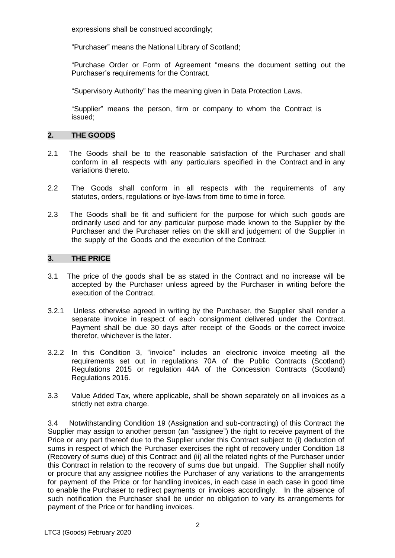expressions shall be construed accordingly;

"Purchaser" means the National Library of Scotland;

"Purchase Order or Form of Agreement "means the document setting out the Purchaser's requirements for the Contract.

"Supervisory Authority" has the meaning given in Data Protection Laws.

"Supplier" means the person, firm or company to whom the Contract is issued;

# **2. THE GOODS**

- 2.1 The Goods shall be to the reasonable satisfaction of the Purchaser and shall conform in all respects with any particulars specified in the Contract and in any variations thereto.
- 2.2 The Goods shall conform in all respects with the requirements of any statutes, orders, regulations or bye-laws from time to time in force.
- 2.3 The Goods shall be fit and sufficient for the purpose for which such goods are ordinarily used and for any particular purpose made known to the Supplier by the Purchaser and the Purchaser relies on the skill and judgement of the Supplier in the supply of the Goods and the execution of the Contract.

# **3. THE PRICE**

- 3.1 The price of the goods shall be as stated in the Contract and no increase will be accepted by the Purchaser unless agreed by the Purchaser in writing before the execution of the Contract.
- 3.2.1 Unless otherwise agreed in writing by the Purchaser, the Supplier shall render a separate invoice in respect of each consignment delivered under the Contract. Payment shall be due 30 days after receipt of the Goods or the correct invoice therefor, whichever is the later.
- 3.2.2 In this Condition 3, "invoice" includes an electronic invoice meeting all the requirements set out in regulations 70A of the Public Contracts (Scotland) Regulations 2015 or regulation 44A of the Concession Contracts (Scotland) Regulations 2016.
- 3.3 Value Added Tax, where applicable, shall be shown separately on all invoices as a strictly net extra charge.

3.4 Notwithstanding Condition 19 (Assignation and sub-contracting) of this Contract the Supplier may assign to another person (an "assignee") the right to receive payment of the Price or any part thereof due to the Supplier under this Contract subject to (i) deduction of sums in respect of which the Purchaser exercises the right of recovery under Condition 18 (Recovery of sums due) of this Contract and (ii) all the related rights of the Purchaser under this Contract in relation to the recovery of sums due but unpaid. The Supplier shall notify or procure that any assignee notifies the Purchaser of any variations to the arrangements for payment of the Price or for handling invoices, in each case in each case in good time to enable the Purchaser to redirect payments or invoices accordingly. In the absence of such notification the Purchaser shall be under no obligation to vary its arrangements for payment of the Price or for handling invoices.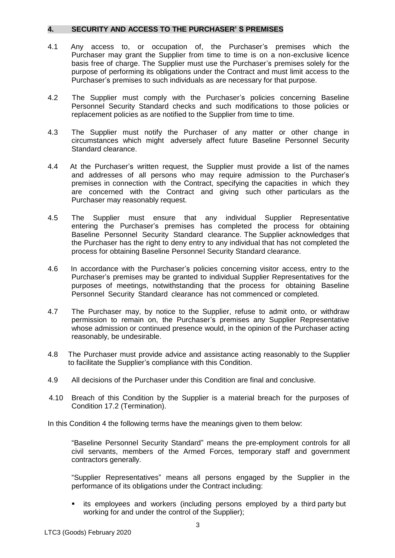### **4. SECURITY AND ACCESS TO THE PURCHASER' S PREMISES**

- 4.1 Any access to, or occupation of, the Purchaser's premises which the Purchaser may grant the Supplier from time to time is on a non-exclusive licence basis free of charge. The Supplier must use the Purchaser's premises solely for the purpose of performing its obligations under the Contract and must limit access to the Purchaser's premises to such individuals as are necessary for that purpose.
- 4.2 The Supplier must comply with the Purchaser's policies concerning Baseline Personnel Security Standard checks and such modifications to those policies or replacement policies as are notified to the Supplier from time to time.
- 4.3 The Supplier must notify the Purchaser of any matter or other change in circumstances which might adversely affect future Baseline Personnel Security Standard clearance.
- 4.4 At the Purchaser's written request, the Supplier must provide a list of the names and addresses of all persons who may require admission to the Purchaser's premises in connection with the Contract, specifying the capacities in which they are concerned with the Contract and giving such other particulars as the Purchaser may reasonably request.
- 4.5 The Supplier must ensure that any individual Supplier Representative entering the Purchaser's premises has completed the process for obtaining Baseline Personnel Security Standard clearance. The Supplier acknowledges that the Purchaser has the right to deny entry to any individual that has not completed the process for obtaining Baseline Personnel Security Standard clearance.
- 4.6 In accordance with the Purchaser's policies concerning visitor access, entry to the Purchaser's premises may be granted to individual Supplier Representatives for the purposes of meetings, notwithstanding that the process for obtaining Baseline Personnel Security Standard clearance has not commenced or completed.
- 4.7 The Purchaser may, by notice to the Supplier, refuse to admit onto, or withdraw permission to remain on, the Purchaser's premises any Supplier Representative whose admission or continued presence would, in the opinion of the Purchaser acting reasonably, be undesirable.
- 4.8 The Purchaser must provide advice and assistance acting reasonably to the Supplier to facilitate the Supplier's compliance with this Condition.
- 4.9 All decisions of the Purchaser under this Condition are final and conclusive.
- 4.10 Breach of this Condition by the Supplier is a material breach for the purposes of Condition 17.2 (Termination).

In this Condition 4 the following terms have the meanings given to them below:

"Baseline Personnel Security Standard" means the pre-employment controls for all civil servants, members of the Armed Forces, temporary staff and government contractors generally.

"Supplier Representatives" means all persons engaged by the Supplier in the performance of its obligations under the Contract including:

 its employees and workers (including persons employed by a third party but working for and under the control of the Supplier);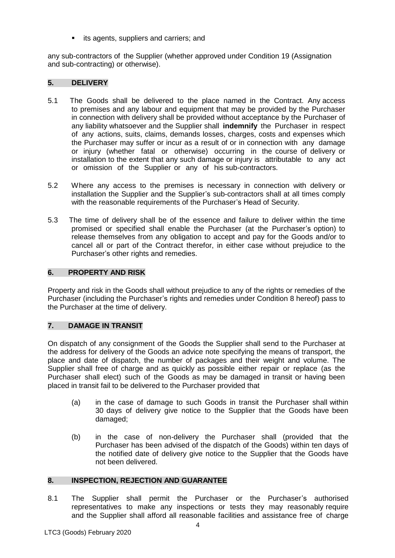**i** its agents, suppliers and carriers; and

any sub-contractors of the Supplier (whether approved under Condition 19 (Assignation and sub-contracting) or otherwise).

# **5. DELIVERY**

- 5.1 The Goods shall be delivered to the place named in the Contract. Any access to premises and any labour and equipment that may be provided by the Purchaser in connection with delivery shall be provided without acceptance by the Purchaser of any liability whatsoever and the Supplier shall **indemnify** the Purchaser in respect of any actions, suits, claims, demands losses, charges, costs and expenses which the Purchaser may suffer or incur as a result of or in connection with any damage or injury (whether fatal or otherwise) occurring in the course of delivery or installation to the extent that any such damage or injury is attributable to any act or omission of the Supplier or any of his sub-contractors.
- 5.2 Where any access to the premises is necessary in connection with delivery or installation the Supplier and the Supplier's sub-contractors shall at all times comply with the reasonable requirements of the Purchaser's Head of Security.
- 5.3 The time of delivery shall be of the essence and failure to deliver within the time promised or specified shall enable the Purchaser (at the Purchaser's option) to release themselves from any obligation to accept and pay for the Goods and/or to cancel all or part of the Contract therefor, in either case without prejudice to the Purchaser's other rights and remedies.

# **6. PROPERTY AND RISK**

Property and risk in the Goods shall without prejudice to any of the rights or remedies of the Purchaser (including the Purchaser's rights and remedies under Condition 8 hereof) pass to the Purchaser at the time of delivery.

# **7. DAMAGE IN TRANSIT**

On dispatch of any consignment of the Goods the Supplier shall send to the Purchaser at the address for delivery of the Goods an advice note specifying the means of transport, the place and date of dispatch, the number of packages and their weight and volume. The Supplier shall free of charge and as quickly as possible either repair or replace (as the Purchaser shall elect) such of the Goods as may be damaged in transit or having been placed in transit fail to be delivered to the Purchaser provided that

- (a) in the case of damage to such Goods in transit the Purchaser shall within 30 days of delivery give notice to the Supplier that the Goods have been damaged;
- (b) in the case of non-delivery the Purchaser shall (provided that the Purchaser has been advised of the dispatch of the Goods) within ten days of the notified date of delivery give notice to the Supplier that the Goods have not been delivered.

# **8. INSPECTION, REJECTION AND GUARANTEE**

8.1 The Supplier shall permit the Purchaser or the Purchaser's authorised representatives to make any inspections or tests they may reasonably require and the Supplier shall afford all reasonable facilities and assistance free of charge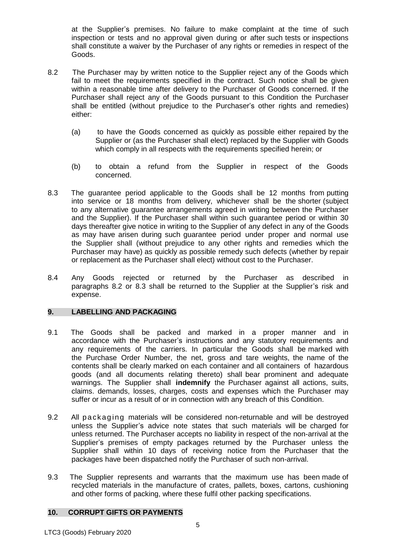at the Supplier's premises. No failure to make complaint at the time of such inspection or tests and no approval given during or after such tests or inspections shall constitute a waiver by the Purchaser of any rights or remedies in respect of the Goods.

- 8.2 The Purchaser may by written notice to the Supplier reject any of the Goods which fail to meet the requirements specified in the contract. Such notice shall be given within a reasonable time after delivery to the Purchaser of Goods concerned. If the Purchaser shall reject any of the Goods pursuant to this Condition the Purchaser shall be entitled (without prejudice to the Purchaser's other rights and remedies) either:
	- (a) to have the Goods concerned as quickly as possible either repaired by the Supplier or (as the Purchaser shall elect) replaced by the Supplier with Goods which comply in all respects with the requirements specified herein; or
	- (b) to obtain a refund from the Supplier in respect of the Goods concerned.
- 8.3 The guarantee period applicable to the Goods shall be 12 months from putting into service or 18 months from delivery, whichever shall be the shorter (subject to any alternative guarantee arrangements agreed in writing between the Purchaser and the Supplier). If the Purchaser shall within such guarantee period or within 30 days thereafter give notice in writing to the Supplier of any defect in any of the Goods as may have arisen during such guarantee period under proper and normal use the Supplier shall (without prejudice to any other rights and remedies which the Purchaser may have) as quickly as possible remedy such defects (whether by repair or replacement as the Purchaser shall elect) without cost to the Purchaser.
- 8.4 Any Goods rejected or returned by the Purchaser as described in paragraphs 8.2 or 8.3 shall be returned to the Supplier at the Supplier's risk and expense.

# **9. LABELLING AND PACKAGING**

- 9.1 The Goods shall be packed and marked in a proper manner and in accordance with the Purchaser's instructions and any statutory requirements and any requirements of the carriers. In particular the Goods shall be marked with the Purchase Order Number, the net, gross and tare weights, the name of the contents shall be clearly marked on each container and all containers of hazardous goods (and all documents relating thereto) shall bear prominent and adequate warnings. The Supplier shall **indemnify** the Purchaser against all actions, suits, claims. demands, losses, charges, costs and expenses which the Purchaser may suffer or incur as a result of or in connection with any breach of this Condition.
- 9.2 All packaging materials will be considered non-returnable and will be destroyed unless the Supplier's advice note states that such materials will be charged for unless returned. The Purchaser accepts no liability in respect of the non-arrival at the Supplier's premises of empty packages returned by the Purchaser unless the Supplier shall within 10 days of receiving notice from the Purchaser that the packages have been dispatched notify the Purchaser of such non-arrival.
- 9.3 The Supplier represents and warrants that the maximum use has been made of recycled materials in the manufacture of crates, pallets, boxes, cartons, cushioning and other forms of packing, where these fulfil other packing specifications.

# **10. CORRUPT GIFTS OR PAYMENTS**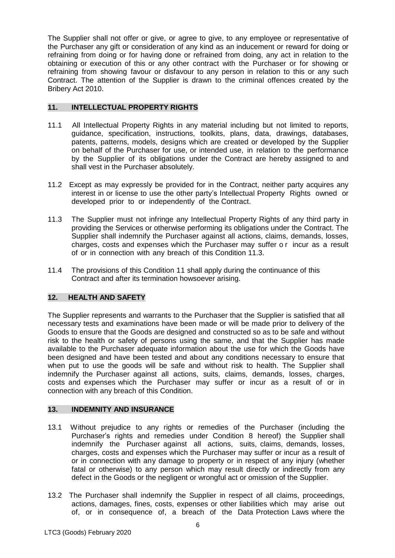The Supplier shall not offer or give, or agree to give, to any employee or representative of the Purchaser any gift or consideration of any kind as an inducement or reward for doing or refraining from doing or for having done or refrained from doing, any act in relation to the obtaining or execution of this or any other contract with the Purchaser or for showing or refraining from showing favour or disfavour to any person in relation to this or any such Contract. The attention of the Supplier is drawn to the criminal offences created by the Bribery Act 2010.

# **11. INTELLECTUAL PROPERTY RIGHTS**

- 11.1 All Intellectual Property Rights in any material including but not limited to reports, guidance, specification, instructions, toolkits, plans, data, drawings, databases, patents, patterns, models, designs which are created or developed by the Supplier on behalf of the Purchaser for use, or intended use, in relation to the performance by the Supplier of its obligations under the Contract are hereby assigned to and shall vest in the Purchaser absolutely.
- 11.2 Except as may expressly be provided for in the Contract, neither party acquires any interest in or license to use the other party's Intellectual Property Rights owned or developed prior to or independently of the Contract.
- 11.3 The Supplier must not infringe any Intellectual Property Rights of any third party in providing the Services or otherwise performing its obligations under the Contract. The Supplier shall indemnify the Purchaser against all actions, claims, demands, losses, charges, costs and expenses which the Purchaser may suffer o r incur as a result of or in connection with any breach of this Condition 11.3.
- 11.4 The provisions of this Condition 11 shall apply during the continuance of this Contract and after its termination howsoever arising.

# **12. HEALTH AND SAFETY**

The Supplier represents and warrants to the Purchaser that the Supplier is satisfied that all necessary tests and examinations have been made or will be made prior to delivery of the Goods to ensure that the Goods are designed and constructed so as to be safe and without risk to the health or safety of persons using the same, and that the Supplier has made available to the Purchaser adequate information about the use for which the Goods have been designed and have been tested and about any conditions necessary to ensure that when put to use the goods will be safe and without risk to health. The Supplier shall indemnify the Purchaser against all actions, suits, claims, demands, losses, charges, costs and expenses which the Purchaser may suffer or incur as a result of or in connection with any breach of this Condition.

# **13. INDEMNITY AND INSURANCE**

- 13.1 Without prejudice to any rights or remedies of the Purchaser (including the Purchaser's rights and remedies under Condition 8 hereof) the Supplier shall indemnify the Purchaser against all actions, suits, claims, demands, losses, charges, costs and expenses which the Purchaser may suffer or incur as a result of or in connection with any damage to property or in respect of any injury (whether fatal or otherwise) to any person which may result directly or indirectly from any defect in the Goods or the negligent or wrongful act or omission of the Supplier.
- 13.2 The Purchaser shall indemnify the Supplier in respect of all claims, proceedings, actions, damages, fines, costs, expenses or other liabilities which may arise out of, or in consequence of, a breach of the Data Protection Laws where the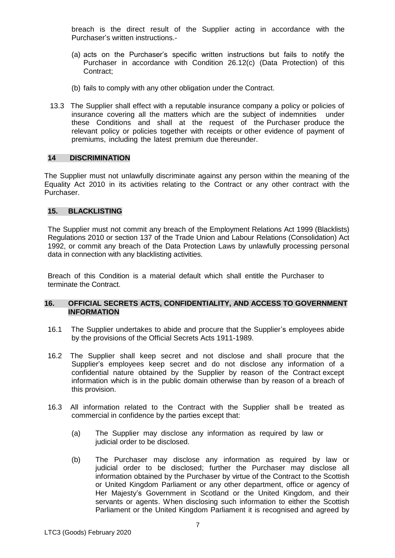breach is the direct result of the Supplier acting in accordance with the Purchaser's written instructions.-

- (a) acts on the Purchaser's specific written instructions but fails to notify the Purchaser in accordance with Condition 26.12(c) (Data Protection) of this Contract;
- (b) fails to comply with any other obligation under the Contract.
- 13.3 The Supplier shall effect with a reputable insurance company a policy or policies of insurance covering all the matters which are the subject of indemnities under these Conditions and shall at the request of the Purchaser produce the relevant policy or policies together with receipts or other evidence of payment of premiums, including the latest premium due thereunder.

## **14 DISCRIMINATION**

The Supplier must not unlawfully discriminate against any person within the meaning of the Equality Act 2010 in its activities relating to the Contract or any other contract with the Purchaser.

### **15. BLACKLISTING**

The Supplier must not commit any breach of the Employment Relations Act 1999 (Blacklists) Regulations 2010 or section 137 of the Trade Union and Labour Relations (Consolidation) Act 1992, or commit any breach of the Data Protection Laws by unlawfully processing personal data in connection with any blacklisting activities.

Breach of this Condition is a material default which shall entitle the Purchaser to terminate the Contract.

#### **16. OFFICIAL SECRETS ACTS, CONFIDENTIALITY, AND ACCESS TO GOVERNMENT INFORMATION**

- 16.1 The Supplier undertakes to abide and procure that the Supplier's employees abide by the provisions of the Official Secrets Acts 1911-1989.
- 16.2 The Supplier shall keep secret and not disclose and shall procure that the Supplier's employees keep secret and do not disclose any information of a confidential nature obtained by the Supplier by reason of the Contract except information which is in the public domain otherwise than by reason of a breach of this provision.
- 16.3 All information related to the Contract with the Supplier shall be treated as commercial in confidence by the parties except that:
	- (a) The Supplier may disclose any information as required by law or judicial order to be disclosed.
	- (b) The Purchaser may disclose any information as required by law or judicial order to be disclosed; further the Purchaser may disclose all information obtained by the Purchaser by virtue of the Contract to the Scottish or United Kingdom Parliament or any other department, office or agency of Her Majesty's Government in Scotland or the United Kingdom, and their servants or agents. When disclosing such information to either the Scottish Parliament or the United Kingdom Parliament it is recognised and agreed by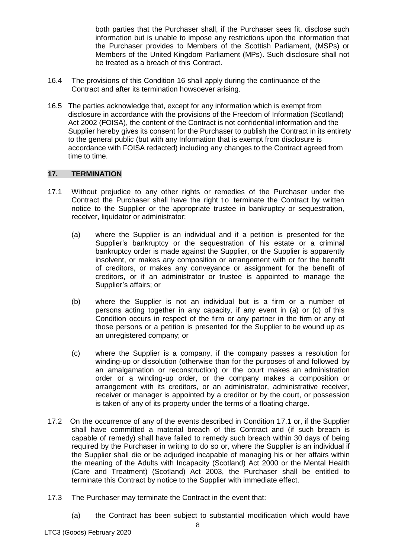both parties that the Purchaser shall, if the Purchaser sees fit, disclose such information but is unable to impose any restrictions upon the information that the Purchaser provides to Members of the Scottish Parliament, (MSPs) or Members of the United Kingdom Parliament (MPs). Such disclosure shall not be treated as a breach of this Contract.

- 16.4 The provisions of this Condition 16 shall apply during the continuance of the Contract and after its termination howsoever arising.
- 16.5 The parties acknowledge that, except for any information which is exempt from disclosure in accordance with the provisions of the Freedom of Information (Scotland) Act 2002 (FOISA), the content of the Contract is not confidential information and the Supplier hereby gives its consent for the Purchaser to publish the Contract in its entirety to the general public (but with any Information that is exempt from disclosure is accordance with FOISA redacted) including any changes to the Contract agreed from time to time.

# **17. TERMINATION**

- 17.1 Without prejudice to any other rights or remedies of the Purchaser under the Contract the Purchaser shall have the right to terminate the Contract by written notice to the Supplier or the appropriate trustee in bankruptcy or sequestration, receiver, liquidator or administrator:
	- (a) where the Supplier is an individual and if a petition is presented for the Supplier's bankruptcy or the sequestration of his estate or a criminal bankruptcy order is made against the Supplier, or the Supplier is apparently insolvent, or makes any composition or arrangement with or for the benefit of creditors, or makes any conveyance or assignment for the benefit of creditors, or if an administrator or trustee is appointed to manage the Supplier's affairs; or
	- (b) where the Supplier is not an individual but is a firm or a number of persons acting together in any capacity, if any event in (a) or (c) of this Condition occurs in respect of the firm or any partner in the firm or any of those persons or a petition is presented for the Supplier to be wound up as an unregistered company; or
	- (c) where the Supplier is a company, if the company passes a resolution for winding-up or dissolution (otherwise than for the purposes of and followed by an amalgamation or reconstruction) or the court makes an administration order or a winding-up order, or the company makes a composition or arrangement with its creditors, or an administrator, administrative receiver, receiver or manager is appointed by a creditor or by the court, or possession is taken of any of its property under the terms of a floating charge.
- 17.2 On the occurrence of any of the events described in Condition 17.1 or, if the Supplier shall have committed a material breach of this Contract and (if such breach is capable of remedy) shall have failed to remedy such breach within 30 days of being required by the Purchaser in writing to do so or, where the Supplier is an individual if the Supplier shall die or be adjudged incapable of managing his or her affairs within the meaning of the Adults with Incapacity (Scotland) Act 2000 or the Mental Health (Care and Treatment) (Scotland) Act 2003, the Purchaser shall be entitled to terminate this Contract by notice to the Supplier with immediate effect.
- 17.3 The Purchaser may terminate the Contract in the event that:
	- (a) the Contract has been subject to substantial modification which would have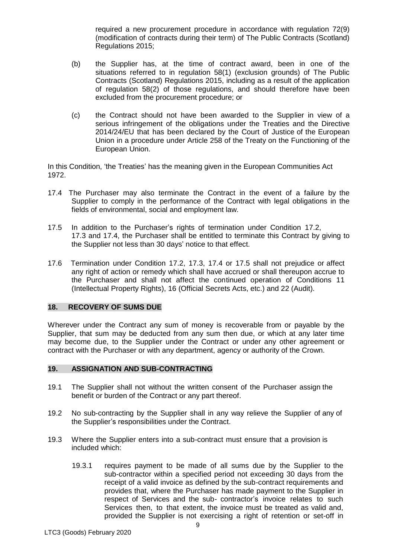required a new procurement procedure in accordance with regulation 72(9) (modification of contracts during their term) of The Public Contracts (Scotland) Regulations 2015;

- (b) the Supplier has, at the time of contract award, been in one of the situations referred to in regulation 58(1) (exclusion grounds) of The Public Contracts (Scotland) Regulations 2015, including as a result of the application of regulation 58(2) of those regulations, and should therefore have been excluded from the procurement procedure; or
- (c) the Contract should not have been awarded to the Supplier in view of a serious infringement of the obligations under the Treaties and the Directive 2014/24/EU that has been declared by the Court of Justice of the European Union in a procedure under Article 258 of the Treaty on the Functioning of the European Union.

In this Condition, 'the Treaties' has the meaning given in the European Communities Act 1972.

- 17.4 The Purchaser may also terminate the Contract in the event of a failure by the Supplier to comply in the performance of the Contract with legal obligations in the fields of environmental, social and employment law.
- 17.5 In addition to the Purchaser's rights of termination under Condition 17.2, 17.3 and 17.4, the Purchaser shall be entitled to terminate this Contract by giving to the Supplier not less than 30 days' notice to that effect.
- 17.6 Termination under Condition 17.2, 17.3, 17.4 or 17.5 shall not prejudice or affect any right of action or remedy which shall have accrued or shall thereupon accrue to the Purchaser and shall not affect the continued operation of Conditions 11 (Intellectual Property Rights), 16 (Official Secrets Acts, etc.) and 22 (Audit).

# **18. RECOVERY OF SUMS DUE**

Wherever under the Contract any sum of money is recoverable from or payable by the Supplier, that sum may be deducted from any sum then due, or which at any later time may become due, to the Supplier under the Contract or under any other agreement or contract with the Purchaser or with any department, agency or authority of the Crown.

#### **19. ASSIGNATION AND SUB-CONTRACTING**

- 19.1 The Supplier shall not without the written consent of the Purchaser assign the benefit or burden of the Contract or any part thereof.
- 19.2 No sub-contracting by the Supplier shall in any way relieve the Supplier of any of the Supplier's responsibilities under the Contract.
- 19.3 Where the Supplier enters into a sub-contract must ensure that a provision is included which:
	- 19.3.1 requires payment to be made of all sums due by the Supplier to the sub-contractor within a specified period not exceeding 30 days from the receipt of a valid invoice as defined by the sub-contract requirements and provides that, where the Purchaser has made payment to the Supplier in respect of Services and the sub- contractor's invoice relates to such Services then, to that extent, the invoice must be treated as valid and, provided the Supplier is not exercising a right of retention or set-off in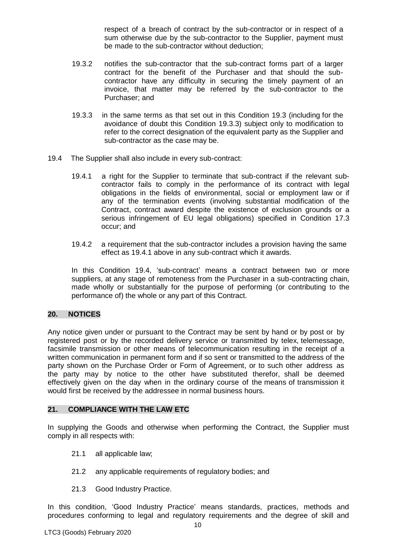respect of a breach of contract by the sub-contractor or in respect of a sum otherwise due by the sub-contractor to the Supplier, payment must be made to the sub-contractor without deduction;

- 19.3.2 notifies the sub-contractor that the sub-contract forms part of a larger contract for the benefit of the Purchaser and that should the subcontractor have any difficulty in securing the timely payment of an invoice, that matter may be referred by the sub-contractor to the Purchaser; and
- 19.3.3 in the same terms as that set out in this Condition 19.3 (including for the avoidance of doubt this Condition 19.3.3) subject only to modification to refer to the correct designation of the equivalent party as the Supplier and sub-contractor as the case may be.
- 19.4 The Supplier shall also include in every sub-contract:
	- 19.4.1 a right for the Supplier to terminate that sub-contract if the relevant subcontractor fails to comply in the performance of its contract with legal obligations in the fields of environmental, social or employment law or if any of the termination events (involving substantial modification of the Contract, contract award despite the existence of exclusion grounds or a serious infringement of EU legal obligations) specified in Condition 17.3 occur; and
	- 19.4.2 a requirement that the sub-contractor includes a provision having the same effect as 19.4.1 above in any sub-contract which it awards.

In this Condition 19.4, 'sub-contract' means a contract between two or more suppliers, at any stage of remoteness from the Purchaser in a sub-contracting chain, made wholly or substantially for the purpose of performing (or contributing to the performance of) the whole or any part of this Contract.

# **20. NOTICES**

Any notice given under or pursuant to the Contract may be sent by hand or by post or by registered post or by the recorded delivery service or transmitted by telex, telemessage, facsimile transmission or other means of telecommunication resulting in the receipt of a written communication in permanent form and if so sent or transmitted to the address of the party shown on the Purchase Order or Form of Agreement, or to such other address as the party may by notice to the other have substituted therefor, shall be deemed effectively given on the day when in the ordinary course of the means of transmission it would first be received by the addressee in normal business hours.

### **21. COMPLIANCE WITH THE LAW ETC**

In supplying the Goods and otherwise when performing the Contract, the Supplier must comply in all respects with:

- 21.1 all applicable law;
- 21.2 any applicable requirements of regulatory bodies; and
- 21.3 Good Industry Practice.

In this condition, 'Good Industry Practice' means standards, practices, methods and procedures conforming to legal and regulatory requirements and the degree of skill and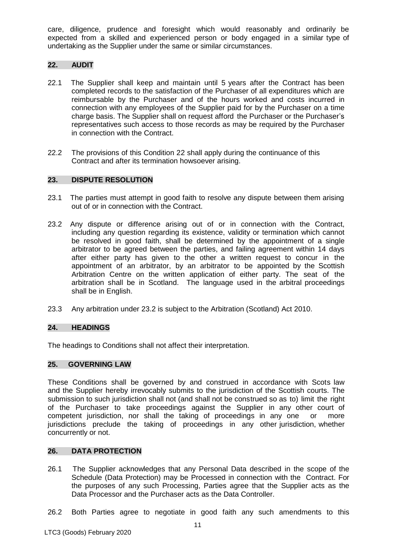care, diligence, prudence and foresight which would reasonably and ordinarily be expected from a skilled and experienced person or body engaged in a similar type of undertaking as the Supplier under the same or similar circumstances.

# **22. AUDIT**

- 22.1 The Supplier shall keep and maintain until 5 years after the Contract has been completed records to the satisfaction of the Purchaser of all expenditures which are reimbursable by the Purchaser and of the hours worked and costs incurred in connection with any employees of the Supplier paid for by the Purchaser on a time charge basis. The Supplier shall on request afford the Purchaser or the Purchaser's representatives such access to those records as may be required by the Purchaser in connection with the Contract.
- 22.2 The provisions of this Condition 22 shall apply during the continuance of this Contract and after its termination howsoever arising.

### **23. DISPUTE RESOLUTION**

- 23.1 The parties must attempt in good faith to resolve any dispute between them arising out of or in connection with the Contract.
- 23.2 Any dispute or difference arising out of or in connection with the Contract, including any question regarding its existence, validity or termination which cannot be resolved in good faith, shall be determined by the appointment of a single arbitrator to be agreed between the parties, and failing agreement within 14 days after either party has given to the other a written request to concur in the appointment of an arbitrator, by an arbitrator to be appointed by the Scottish Arbitration Centre on the written application of either party. The seat of the arbitration shall be in Scotland. The language used in the arbitral proceedings shall be in English.
- 23.3 Any arbitration under 23.2 is subject to the Arbitration (Scotland) Act 2010.

### **24. HEADINGS**

The headings to Conditions shall not affect their interpretation.

### **25. GOVERNING LAW**

These Conditions shall be governed by and construed in accordance with Scots law and the Supplier hereby irrevocably submits to the jurisdiction of the Scottish courts. The submission to such jurisdiction shall not (and shall not be construed so as to) limit the right of the Purchaser to take proceedings against the Supplier in any other court of competent jurisdiction, nor shall the taking of proceedings in any one or more jurisdictions preclude the taking of proceedings in any other jurisdiction, whether concurrently or not.

#### **26. DATA PROTECTION**

- 26.1 The Supplier acknowledges that any Personal Data described in the scope of the Schedule (Data Protection) may be Processed in connection with the Contract. For the purposes of any such Processing, Parties agree that the Supplier acts as the Data Processor and the Purchaser acts as the Data Controller.
- 26.2 Both Parties agree to negotiate in good faith any such amendments to this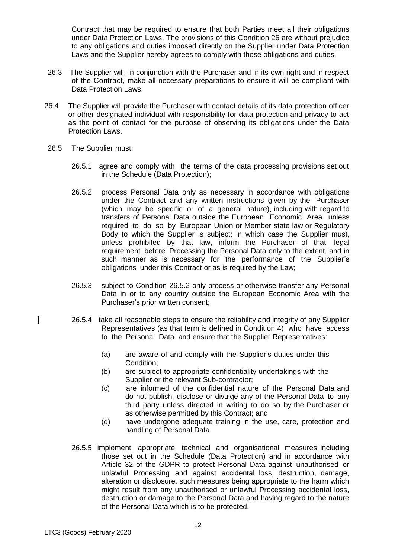Contract that may be required to ensure that both Parties meet all their obligations under Data Protection Laws. The provisions of this Condition 26 are without prejudice to any obligations and duties imposed directly on the Supplier under Data Protection Laws and the Supplier hereby agrees to comply with those obligations and duties.

- 26.3 The Supplier will, in conjunction with the Purchaser and in its own right and in respect of the Contract, make all necessary preparations to ensure it will be compliant with Data Protection Laws.
- 26.4 The Supplier will provide the Purchaser with contact details of its data protection officer or other designated individual with responsibility for data protection and privacy to act as the point of contact for the purpose of observing its obligations under the Data Protection Laws.
- 26.5 The Supplier must:
	- 26.5.1 agree and comply with the terms of the data processing provisions set out in the Schedule (Data Protection);
	- 26.5.2 process Personal Data only as necessary in accordance with obligations under the Contract and any written instructions given by the Purchaser (which may be specific or of a general nature), including with regard to transfers of Personal Data outside the European Economic Area unless required to do so by European Union or Member state law or Regulatory Body to which the Supplier is subject; in which case the Supplier must, unless prohibited by that law, inform the Purchaser of that legal requirement before Processing the Personal Data only to the extent, and in such manner as is necessary for the performance of the Supplier's obligations under this Contract or as is required by the Law;
	- 26.5.3 subject to Condition 26.5.2 only process or otherwise transfer any Personal Data in or to any country outside the European Economic Area with the Purchaser's prior written consent;
	- 26.5.4 take all reasonable steps to ensure the reliability and integrity of any Supplier Representatives (as that term is defined in Condition 4) who have access to the Personal Data and ensure that the Supplier Representatives:
		- (a) are aware of and comply with the Supplier's duties under this Condition;
		- (b) are subject to appropriate confidentiality undertakings with the Supplier or the relevant Sub-contractor;
		- (c) are informed of the confidential nature of the Personal Data and do not publish, disclose or divulge any of the Personal Data to any third party unless directed in writing to do so by the Purchaser or as otherwise permitted by this Contract; and
		- (d) have undergone adequate training in the use, care, protection and handling of Personal Data.
	- 26.5.5 implement appropriate technical and organisational measures including those set out in the Schedule (Data Protection) and in accordance with Article 32 of the GDPR to protect Personal Data against unauthorised or unlawful Processing and against accidental loss, destruction, damage, alteration or disclosure, such measures being appropriate to the harm which might result from any unauthorised or unlawful Processing accidental loss, destruction or damage to the Personal Data and having regard to the nature of the Personal Data which is to be protected.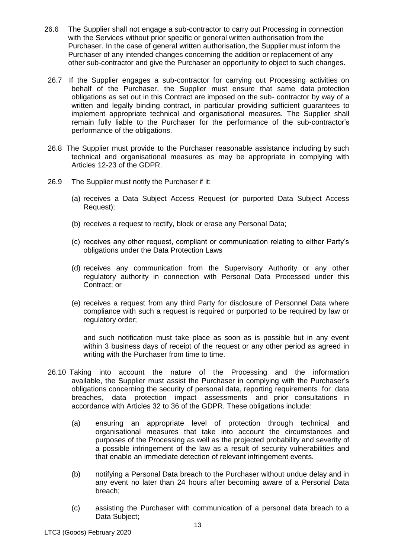- 26.6 The Supplier shall not engage a sub-contractor to carry out Processing in connection with the Services without prior specific or general written authorisation from the Purchaser. In the case of general written authorisation, the Supplier must inform the Purchaser of any intended changes concerning the addition or replacement of any other sub-contractor and give the Purchaser an opportunity to object to such changes.
- 26.7 If the Supplier engages a sub-contractor for carrying out Processing activities on behalf of the Purchaser, the Supplier must ensure that same data protection obligations as set out in this Contract are imposed on the sub- contractor by way of a written and legally binding contract, in particular providing sufficient guarantees to implement appropriate technical and organisational measures. The Supplier shall remain fully liable to the Purchaser for the performance of the sub-contractor's performance of the obligations.
- 26.8 The Supplier must provide to the Purchaser reasonable assistance including by such technical and organisational measures as may be appropriate in complying with Articles 12-23 of the GDPR.
- 26.9 The Supplier must notify the Purchaser if it:
	- (a) receives a Data Subject Access Request (or purported Data Subject Access Request);
	- (b) receives a request to rectify, block or erase any Personal Data;
	- (c) receives any other request, compliant or communication relating to either Party's obligations under the Data Protection Laws
	- (d) receives any communication from the Supervisory Authority or any other regulatory authority in connection with Personal Data Processed under this Contract; or
	- (e) receives a request from any third Party for disclosure of Personnel Data where compliance with such a request is required or purported to be required by law or regulatory order;

and such notification must take place as soon as is possible but in any event within 3 business days of receipt of the request or any other period as agreed in writing with the Purchaser from time to time.

- 26.10 Taking into account the nature of the Processing and the information available, the Supplier must assist the Purchaser in complying with the Purchaser's obligations concerning the security of personal data, reporting requirements for data breaches, data protection impact assessments and prior consultations in accordance with Articles 32 to 36 of the GDPR. These obligations include:
	- (a) ensuring an appropriate level of protection through technical and organisational measures that take into account the circumstances and purposes of the Processing as well as the projected probability and severity of a possible infringement of the law as a result of security vulnerabilities and that enable an immediate detection of relevant infringement events.
	- (b) notifying a Personal Data breach to the Purchaser without undue delay and in any event no later than 24 hours after becoming aware of a Personal Data breach;
	- (c) assisting the Purchaser with communication of a personal data breach to a Data Subject;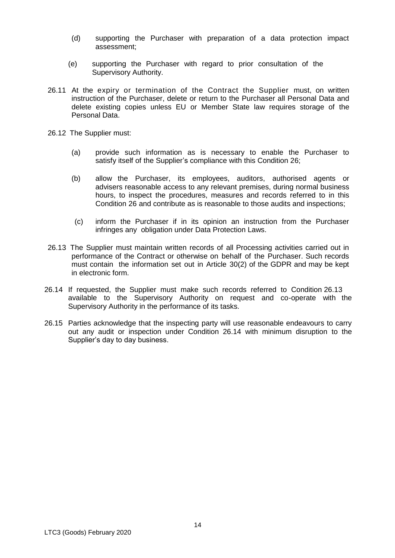- (d) supporting the Purchaser with preparation of a data protection impact assessment;
- (e) supporting the Purchaser with regard to prior consultation of the Supervisory Authority.
- 26.11 At the expiry or termination of the Contract the Supplier must, on written instruction of the Purchaser, delete or return to the Purchaser all Personal Data and delete existing copies unless EU or Member State law requires storage of the Personal Data.
- 26.12 The Supplier must:
	- (a) provide such information as is necessary to enable the Purchaser to satisfy itself of the Supplier's compliance with this Condition 26;
	- (b) allow the Purchaser, its employees, auditors, authorised agents or advisers reasonable access to any relevant premises, during normal business hours, to inspect the procedures, measures and records referred to in this Condition 26 and contribute as is reasonable to those audits and inspections;
	- (c) inform the Purchaser if in its opinion an instruction from the Purchaser infringes any obligation under Data Protection Laws.
- 26.13 The Supplier must maintain written records of all Processing activities carried out in performance of the Contract or otherwise on behalf of the Purchaser. Such records must contain the information set out in Article 30(2) of the GDPR and may be kept in electronic form.
- 26.14 If requested, the Supplier must make such records referred to Condition 26.13 available to the Supervisory Authority on request and co-operate with the Supervisory Authority in the performance of its tasks.
- 26.15 Parties acknowledge that the inspecting party will use reasonable endeavours to carry out any audit or inspection under Condition 26.14 with minimum disruption to the Supplier's day to day business.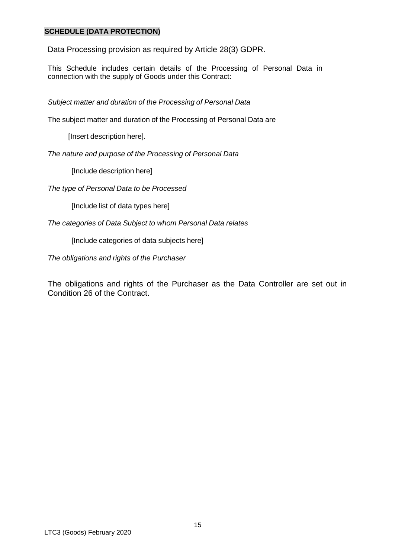# **SCHEDULE (DATA PROTECTION)**

Data Processing provision as required by Article 28(3) GDPR.

This Schedule includes certain details of the Processing of Personal Data in connection with the supply of Goods under this Contract:

*Subject matter and duration of the Processing of Personal Data*

The subject matter and duration of the Processing of Personal Data are

[Insert description here].

*The nature and purpose of the Processing of Personal Data*

[Include description here]

*The type of Personal Data to be Processed*

[Include list of data types here]

*The categories of Data Subject to whom Personal Data relates*

[Include categories of data subjects here]

*The obligations and rights of the Purchaser*

The obligations and rights of the Purchaser as the Data Controller are set out in Condition 26 of the Contract.